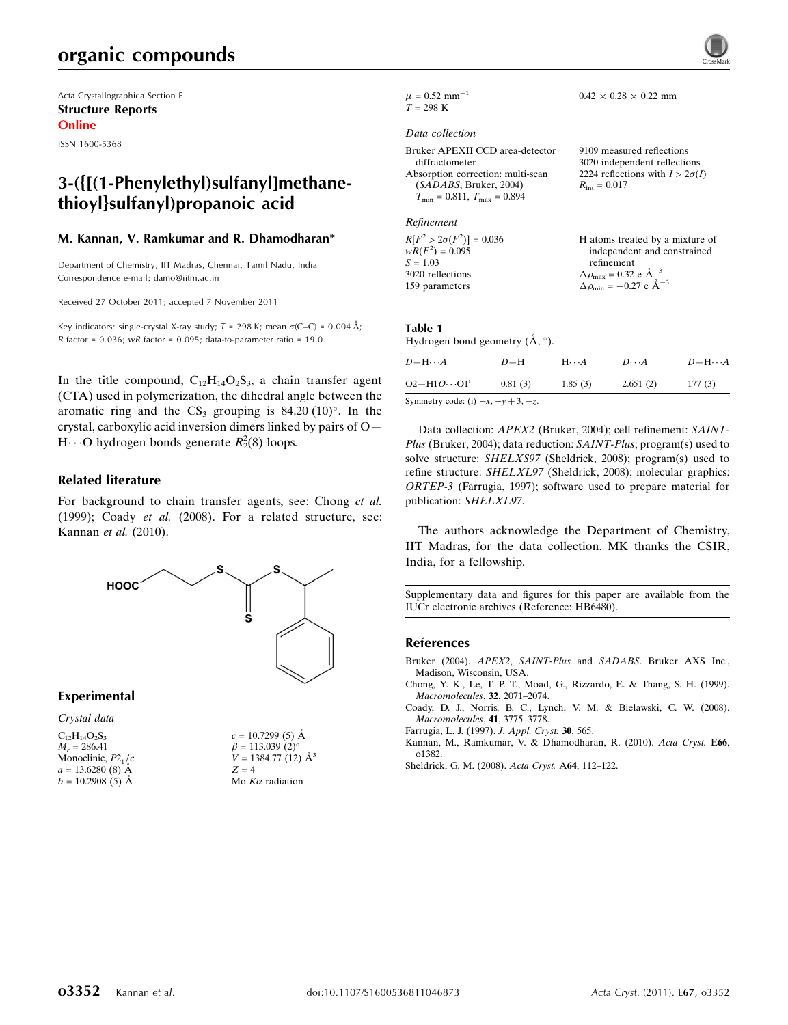# organic compounds

Acta Crystallographica Section E Structure Reports Online

ISSN 1600-5368

## 3-({[(1-Phenylethyl)sulfanyl]methanethioyl}sulfanyl)propanoic acid

#### M. Kannan, V. Ramkumar and R. Dhamodharan\*

Department of Chemistry, IIT Madras, Chennai, Tamil Nadu, India Correspondence e-mail: [damo@iitm.ac.in](http://scripts.iucr.org/cgi-bin/cr.cgi?rm=pdfbb&cnor=hb6480&bbid=BB6)

Received 27 October 2011; accepted 7 November 2011

Key indicators: single-crystal X-ray study;  $T = 298$  K; mean  $\sigma$ (C–C) = 0.004 Å; R factor =  $0.036$ ; wR factor =  $0.095$ ; data-to-parameter ratio = 19.0.

In the title compound,  $C_{12}H_{14}O_2S_3$ , a chain transfer agent (CTA) used in polymerization, the dihedral angle between the aromatic ring and the  $CS_3$  grouping is 84.20 (10)°. In the crystal, carboxylic acid inversion dimers linked by pairs of O—  $H \cdots$ O hydrogen bonds generate  $R_2^2(8)$  loops.

#### Related literature

For background to chain transfer agents, see: Chong et al. (1999); Coady et al. (2008). For a related structure, see: Kannan et al. (2010).



Experimental

| Crystal data         |
|----------------------|
| $C_{12}H_{14}O_2S_3$ |
| $M_r = 286.41$       |
| Monoclinic, $P2_1/c$ |
| $a = 13.6280(8)$ Å   |
| $b = 10.2908(5)$ Å   |

 $c = 10.7299(5)$  Å  $\beta = 113.039$  (2)<sup>o</sup>  $V = 1384.77(12)$   $\AA^3$  $Z = 4$ Mo  $K\alpha$  radiation

 $\mu = 0.52$  mm<sup>-1</sup>  $T = 298 \text{ K}$ 

#### Data collection

| Bruker APEXII CCD area-detector      | 9109 measured reflections              |
|--------------------------------------|----------------------------------------|
| diffractometer                       | 3020 independent reflections           |
| Absorption correction: multi-scan    | 2224 reflections with $I > 2\sigma(I)$ |
| (SADABS; Bruker, 2004)               | $R_{\rm int} = 0.017$                  |
| $T_{\min} = 0.811, T_{\max} = 0.894$ |                                        |

#### Refinement

 $R[F^2 > 2\sigma(F^2)] = 0.036$ <br>  $wR(F^2) = 0.095$  $S = 1.03$ 3020 reflections 159 parameters H atoms treated by a mixture of independent and constrained refinement  $\Delta \rho_{\text{max}} = 0.32 \text{ e } \text{\AA}_{\text{s}}^{-3}$  $\Delta \rho_{\rm min} = -0.27 \text{ e } \text{\AA}^{-3}$ 

 $0.42 \times 0.28 \times 0.22$  mm

## Table 1

Hydrogen-bond geometry  $(\AA, \degree)$ .

| $D$ — $H \cdots A$                                                                     | $D-H$   | $H\cdots A$ | $D\cdots A$ | $D - H \cdots A$ |
|----------------------------------------------------------------------------------------|---------|-------------|-------------|------------------|
| $O2 - H1O \cdots O1$ <sup>1</sup>                                                      | 0.81(3) | 1.85(3)     | 2.651(2)    | 177(3)           |
| $Symmatrix \text{ and } \text{a} \cdot \text{b}$ $\cdots$ $\cdots$ $\vdots$ $\uparrow$ |         |             |             |                  |

Symmetry code: (i)  $-x$ ,  $-y + 3$ ,  $-z$ .

Data collection: APEX2 (Bruker, 2004); cell refinement: SAINT-Plus (Bruker, 2004); data reduction: SAINT-Plus; program(s) used to solve structure: SHELXS97 (Sheldrick, 2008); program(s) used to refine structure: SHELXL97 (Sheldrick, 2008); molecular graphics: ORTEP-3 (Farrugia, 1997); software used to prepare material for publication: SHELXL97.

The authors acknowledge the Department of Chemistry, IIT Madras, for the data collection. MK thanks the CSIR, India, for a fellowship.

Supplementary data and figures for this paper are available from the IUCr electronic archives (Reference: HB6480).

#### References

- Bruker (2004). APEX2, SAINT-Plus and SADABS[. Bruker AXS Inc.,](http://scripts.iucr.org/cgi-bin/cr.cgi?rm=pdfbb&cnor=hb6480&bbid=BB1) [Madison, Wisconsin, USA.](http://scripts.iucr.org/cgi-bin/cr.cgi?rm=pdfbb&cnor=hb6480&bbid=BB1)
- [Chong, Y. K., Le, T. P. T., Moad, G., Rizzardo, E. & Thang, S. H. \(1999\).](http://scripts.iucr.org/cgi-bin/cr.cgi?rm=pdfbb&cnor=hb6480&bbid=BB2) [Macromolecules](http://scripts.iucr.org/cgi-bin/cr.cgi?rm=pdfbb&cnor=hb6480&bbid=BB2), 32, 2071–2074.
- [Coady, D. J., Norris, B. C., Lynch, V. M. & Bielawski, C. W. \(2008\).](http://scripts.iucr.org/cgi-bin/cr.cgi?rm=pdfbb&cnor=hb6480&bbid=BB3) [Macromolecules](http://scripts.iucr.org/cgi-bin/cr.cgi?rm=pdfbb&cnor=hb6480&bbid=BB3), 41, 3775–3778.
- [Farrugia, L. J. \(1997\).](http://scripts.iucr.org/cgi-bin/cr.cgi?rm=pdfbb&cnor=hb6480&bbid=BB4) J. Appl. Cryst. 30, 565.
- [Kannan, M., Ramkumar, V. & Dhamodharan, R. \(2010\).](http://scripts.iucr.org/cgi-bin/cr.cgi?rm=pdfbb&cnor=hb6480&bbid=BB5) Acta Cryst. E66, [o1382.](http://scripts.iucr.org/cgi-bin/cr.cgi?rm=pdfbb&cnor=hb6480&bbid=BB5)
- [Sheldrick, G. M. \(2008\).](http://scripts.iucr.org/cgi-bin/cr.cgi?rm=pdfbb&cnor=hb6480&bbid=BB6) Acta Cryst. A64, 112–122.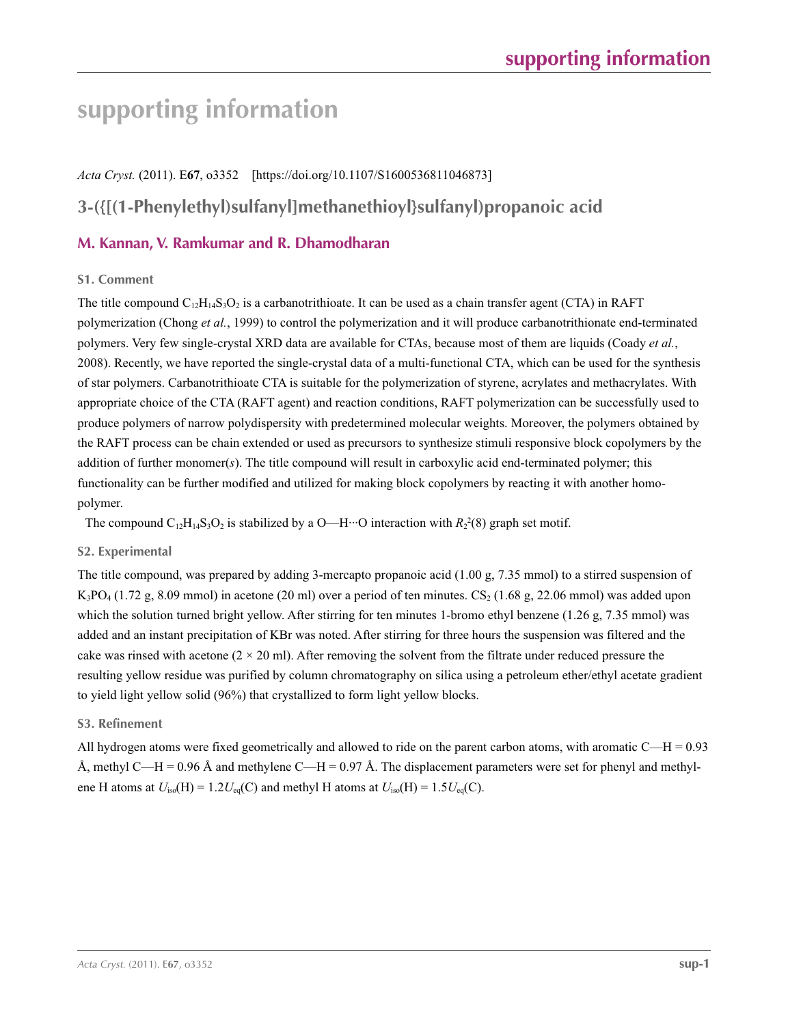# **supporting information**

### *Acta Cryst.* (2011). E**67**, o3352 [https://doi.org/10.1107/S1600536811046873]

# **3-({[(1-Phenylethyl)sulfanyl]methanethioyl}sulfanyl)propanoic acid**

## **M. Kannan, V. Ramkumar and R. Dhamodharan**

#### **S1. Comment**

The title compound  $C_{12}H_{14}S_3O_2$  is a carbanotrithioate. It can be used as a chain transfer agent (CTA) in RAFT polymerization (Chong *et al.*, 1999) to control the polymerization and it will produce carbanotrithionate end-terminated polymers. Very few single-crystal XRD data are available for CTAs, because most of them are liquids (Coady *et al.*, 2008). Recently, we have reported the single-crystal data of a multi-functional CTA, which can be used for the synthesis of star polymers. Carbanotrithioate CTA is suitable for the polymerization of styrene, acrylates and methacrylates. With appropriate choice of the CTA (RAFT agent) and reaction conditions, RAFT polymerization can be successfully used to produce polymers of narrow polydispersity with predetermined molecular weights. Moreover, the polymers obtained by the RAFT process can be chain extended or used as precursors to synthesize stimuli responsive block copolymers by the addition of further monomer(*s*). The title compound will result in carboxylic acid end-terminated polymer; this functionality can be further modified and utilized for making block copolymers by reacting it with another homopolymer.

The compound  $C_{12}H_{14}S_3O_2$  is stabilized by a O—H···O interaction with  $R_2^2(8)$  graph set motif.

### **S2. Experimental**

The title compound, was prepared by adding 3-mercapto propanoic acid (1.00 g, 7.35 mmol) to a stirred suspension of  $K_3PO_4$  (1.72 g, 8.09 mmol) in acetone (20 ml) over a period of ten minutes.  $CS_2$  (1.68 g, 22.06 mmol) was added upon which the solution turned bright yellow. After stirring for ten minutes 1-bromo ethyl benzene (1.26 g, 7.35 mmol) was added and an instant precipitation of KBr was noted. After stirring for three hours the suspension was filtered and the cake was rinsed with acetone  $(2 \times 20 \text{ ml})$ . After removing the solvent from the filtrate under reduced pressure the resulting yellow residue was purified by column chromatography on silica using a petroleum ether/ethyl acetate gradient to yield light yellow solid (96%) that crystallized to form light yellow blocks.

### **S3. Refinement**

All hydrogen atoms were fixed geometrically and allowed to ride on the parent carbon atoms, with aromatic C—H = 0.93 Å, methyl C—H = 0.96 Å and methylene C—H = 0.97 Å. The displacement parameters were set for phenyl and methylene H atoms at  $U_{iso}(H) = 1.2U_{eq}(C)$  and methyl H atoms at  $U_{iso}(H) = 1.5U_{eq}(C)$ .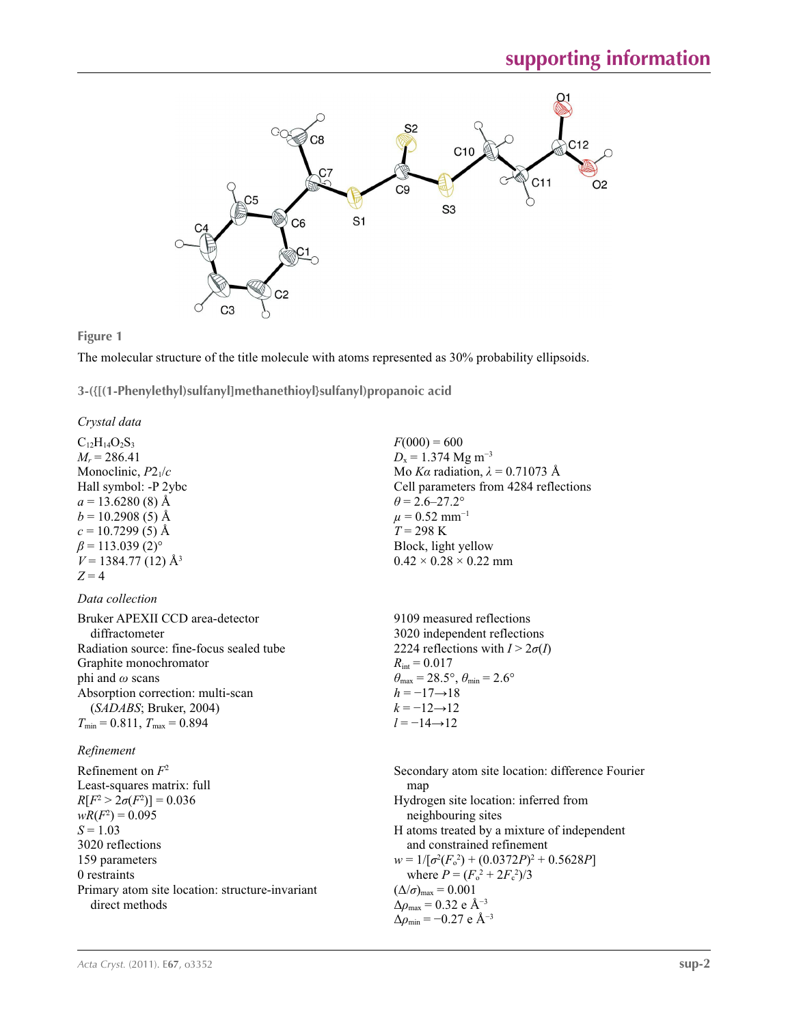

 $F(000) = 600$  $D_x = 1.374$  Mg m<sup>-3</sup>

 $\theta$  = 2.6–27.2°  $\mu = 0.52$  mm<sup>-1</sup>  $T = 298 \text{ K}$ 

Block, light yellow  $0.42 \times 0.28 \times 0.22$  mm

Mo *Kα* radiation, *λ* = 0.71073 Å Cell parameters from 4284 reflections

#### **Figure 1**

The molecular structure of the title molecule with atoms represented as 30% probability ellipsoids.

**3-({[(1-Phenylethyl)sulfanyl]methanethioyl}sulfanyl)propanoic acid** 

#### *Crystal data*

 $C_{12}H_{14}O_2S_3$  $M_r = 286.41$ Monoclinic, *P*21/*c* Hall symbol: -P 2ybc  $a = 13.6280(8)$  Å  $b = 10.2908(5)$  Å  $c = 10.7299(5)$  Å  $\beta$  = 113.039 (2)<sup>o</sup>  $V = 1384.77(12)$  Å<sup>3</sup>  $Z = 4$ 

#### *Data collection*

| Bruker APEXII CCD area-detector          | 9109 measured reflections                                               |
|------------------------------------------|-------------------------------------------------------------------------|
| diffractometer                           | 3020 independent reflections                                            |
| Radiation source: fine-focus sealed tube | 2224 reflections with $I > 2\sigma(I)$                                  |
| Graphite monochromator                   | $R_{\text{int}} = 0.017$                                                |
| phi and $\omega$ scans                   | $\theta_{\text{max}} = 28.5^{\circ}, \theta_{\text{min}} = 2.6^{\circ}$ |
| Absorption correction: multi-scan        | $h = -17 \rightarrow 18$                                                |
| (SADABS; Bruker, 2004)                   | $k = -12 \rightarrow 12$                                                |
| $T_{\min}$ = 0.811, $T_{\max}$ = 0.894   | $l = -14 \rightarrow 12$                                                |
|                                          |                                                                         |

#### *Refinement*

Refinement on *F*<sup>2</sup> Least-squares matrix: full *R*[ $F^2 > 2\sigma(F^2)$ ] = 0.036  $wR(F^2) = 0.095$ *S* = 1.03 3020 reflections 159 parameters 0 restraints Primary atom site location: structure-invariant direct methods

Secondary atom site location: difference Fourier map Hydrogen site location: inferred from neighbouring sites H atoms treated by a mixture of independent and constrained refinement  $w = 1/[\sigma^2 (F_o^2) + (0.0372P)^2 + 0.5628P]$ where  $P = (F_o^2 + 2F_c^2)/3$  $(\Delta/\sigma)_{\text{max}} = 0.001$ Δ*ρ*max = 0.32 e Å−3 Δ*ρ*min = −0.27 e Å−3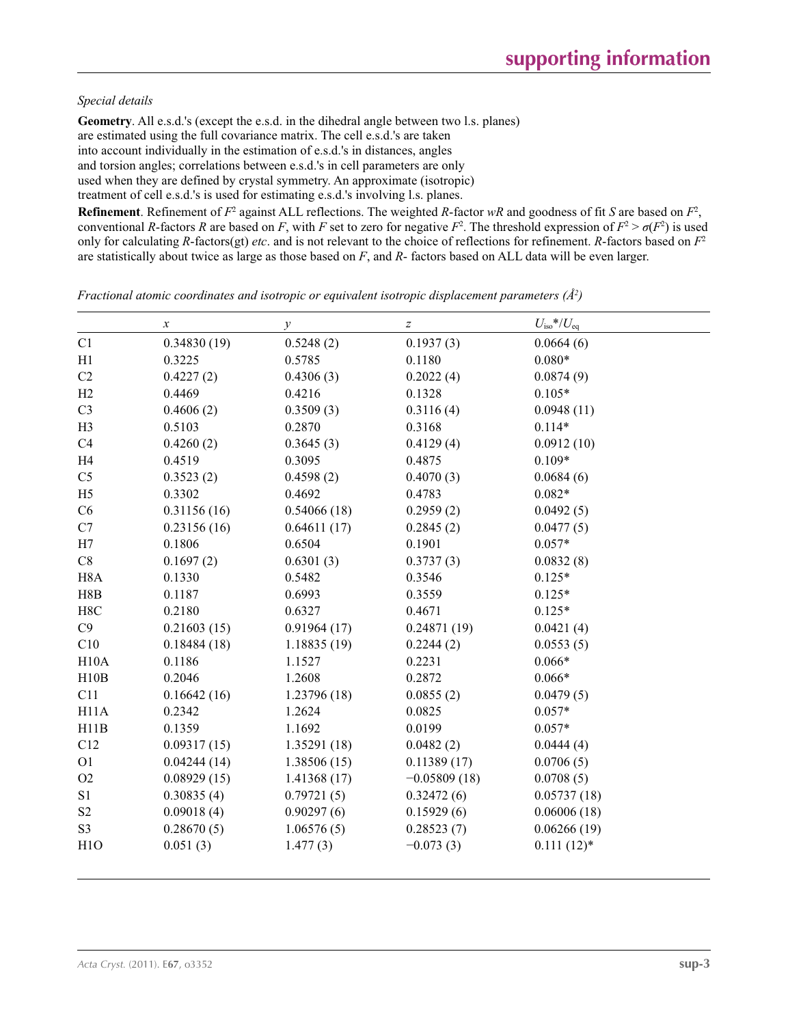#### *Special details*

**Geometry**. All e.s.d.'s (except the e.s.d. in the dihedral angle between two l.s. planes) are estimated using the full covariance matrix. The cell e.s.d.'s are taken into account individually in the estimation of e.s.d.'s in distances, angles and torsion angles; correlations between e.s.d.'s in cell parameters are only used when they are defined by crystal symmetry. An approximate (isotropic) treatment of cell e.s.d.'s is used for estimating e.s.d.'s involving l.s. planes.

**Refinement**. Refinement of  $F^2$  against ALL reflections. The weighted *R*-factor  $wR$  and goodness of fit *S* are based on  $F^2$ , conventional *R*-factors *R* are based on *F*, with *F* set to zero for negative  $F^2$ . The threshold expression of  $F^2 > \sigma(F^2)$  is used only for calculating *R*-factors(gt) *etc*. and is not relevant to the choice of reflections for refinement. *R*-factors based on *F*<sup>2</sup> are statistically about twice as large as those based on *F*, and *R*- factors based on ALL data will be even larger.

*Fractional atomic coordinates and isotropic or equivalent isotropic displacement parameters (Å<sup>2</sup>)* 

|                   | $\boldsymbol{\chi}$ | $\mathcal{Y}$ | $\boldsymbol{Z}$ | $U_{\rm iso}$ */ $U_{\rm eq}$ |
|-------------------|---------------------|---------------|------------------|-------------------------------|
| C1                | 0.34830(19)         | 0.5248(2)     | 0.1937(3)        | 0.0664(6)                     |
| H1                | 0.3225              | 0.5785        | 0.1180           | $0.080*$                      |
| C2                | 0.4227(2)           | 0.4306(3)     | 0.2022(4)        | 0.0874(9)                     |
| H2                | 0.4469              | 0.4216        | 0.1328           | $0.105*$                      |
| C <sub>3</sub>    | 0.4606(2)           | 0.3509(3)     | 0.3116(4)        | 0.0948(11)                    |
| H <sub>3</sub>    | 0.5103              | 0.2870        | 0.3168           | $0.114*$                      |
| C4                | 0.4260(2)           | 0.3645(3)     | 0.4129(4)        | 0.0912(10)                    |
| H4                | 0.4519              | 0.3095        | 0.4875           | $0.109*$                      |
| C <sub>5</sub>    | 0.3523(2)           | 0.4598(2)     | 0.4070(3)        | 0.0684(6)                     |
| H <sub>5</sub>    | 0.3302              | 0.4692        | 0.4783           | $0.082*$                      |
| C6                | 0.31156(16)         | 0.54066(18)   | 0.2959(2)        | 0.0492(5)                     |
| C7                | 0.23156(16)         | 0.64611(17)   | 0.2845(2)        | 0.0477(5)                     |
| H7                | 0.1806              | 0.6504        | 0.1901           | $0.057*$                      |
| $\mbox{C}8$       | 0.1697(2)           | 0.6301(3)     | 0.3737(3)        | 0.0832(8)                     |
| H <sub>8</sub> A  | 0.1330              | 0.5482        | 0.3546           | $0.125*$                      |
| H8B               | 0.1187              | 0.6993        | 0.3559           | $0.125*$                      |
| H8C               | 0.2180              | 0.6327        | 0.4671           | $0.125*$                      |
| C9                | 0.21603(15)         | 0.91964(17)   | 0.24871(19)      | 0.0421(4)                     |
| C10               | 0.18484(18)         | 1.18835(19)   | 0.2244(2)        | 0.0553(5)                     |
| H10A              | 0.1186              | 1.1527        | 0.2231           | $0.066*$                      |
| H10B              | 0.2046              | 1.2608        | 0.2872           | $0.066*$                      |
| C11               | 0.16642(16)         | 1.23796 (18)  | 0.0855(2)        | 0.0479(5)                     |
| H <sub>11</sub> A | 0.2342              | 1.2624        | 0.0825           | $0.057*$                      |
| H11B              | 0.1359              | 1.1692        | 0.0199           | $0.057*$                      |
| C12               | 0.09317(15)         | 1.35291 (18)  | 0.0482(2)        | 0.0444(4)                     |
| O <sub>1</sub>    | 0.04244(14)         | 1.38506(15)   | 0.11389(17)      | 0.0706(5)                     |
| O2                | 0.08929(15)         | 1.41368(17)   | $-0.05809(18)$   | 0.0708(5)                     |
| S <sub>1</sub>    | 0.30835(4)          | 0.79721(5)    | 0.32472(6)       | 0.05737(18)                   |
| S <sub>2</sub>    | 0.09018(4)          | 0.90297(6)    | 0.15929(6)       | 0.06006(18)                   |
| S <sub>3</sub>    | 0.28670(5)          | 1.06576(5)    | 0.28523(7)       | 0.06266(19)                   |
| H1O               | 0.051(3)            | 1.477(3)      | $-0.073(3)$      | $0.111(12)$ *                 |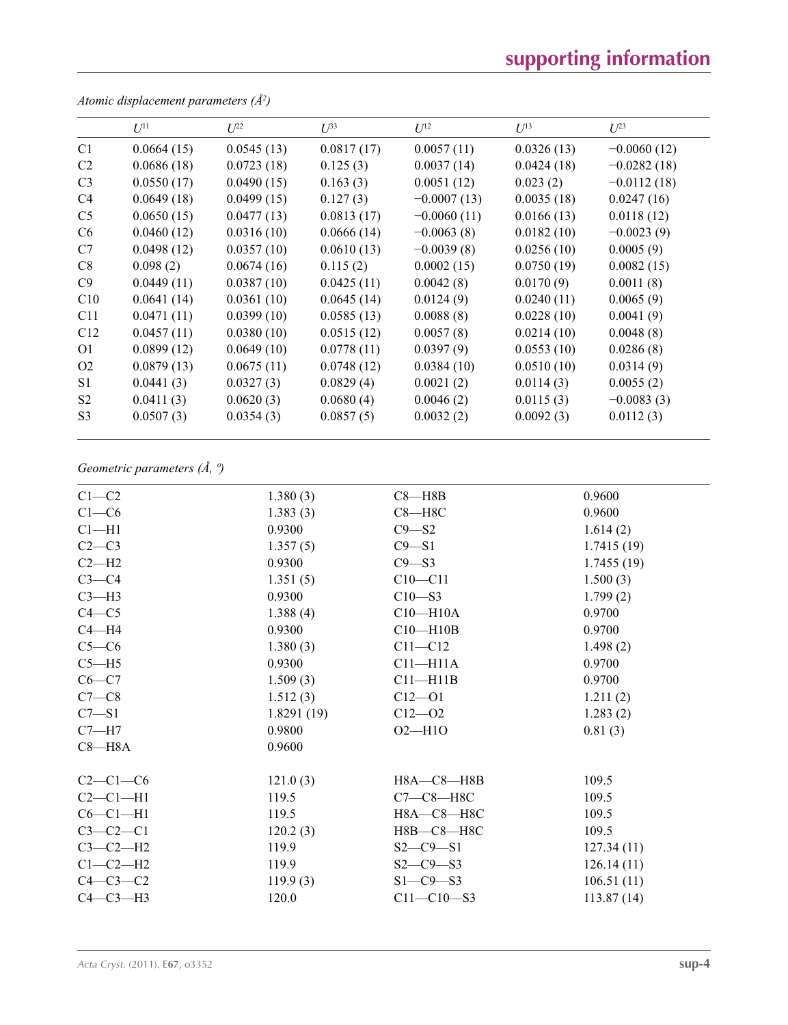# **supporting information**

|                | $U^{11}$   | $L^{22}$   | $\mathcal{L}^{\beta 3}$ | $U^{12}$      | $U^{13}$   | $L^{23}$      |
|----------------|------------|------------|-------------------------|---------------|------------|---------------|
| C1             | 0.0664(15) | 0.0545(13) | 0.0817(17)              | 0.0057(11)    | 0.0326(13) | $-0.0060(12)$ |
| C <sub>2</sub> | 0.0686(18) | 0.0723(18) | 0.125(3)                | 0.0037(14)    | 0.0424(18) | $-0.0282(18)$ |
| C <sub>3</sub> | 0.0550(17) | 0.0490(15) | 0.163(3)                | 0.0051(12)    | 0.023(2)   | $-0.0112(18)$ |
| C <sub>4</sub> | 0.0649(18) | 0.0499(15) | 0.127(3)                | $-0.0007(13)$ | 0.0035(18) | 0.0247(16)    |
| C <sub>5</sub> | 0.0650(15) | 0.0477(13) | 0.0813(17)              | $-0.0060(11)$ | 0.0166(13) | 0.0118(12)    |
| C <sub>6</sub> | 0.0460(12) | 0.0316(10) | 0.0666(14)              | $-0.0063(8)$  | 0.0182(10) | $-0.0023(9)$  |
| C7             | 0.0498(12) | 0.0357(10) | 0.0610(13)              | $-0.0039(8)$  | 0.0256(10) | 0.0005(9)     |
| C8             | 0.098(2)   | 0.0674(16) | 0.115(2)                | 0.0002(15)    | 0.0750(19) | 0.0082(15)    |
| C9             | 0.0449(11) | 0.0387(10) | 0.0425(11)              | 0.0042(8)     | 0.0170(9)  | 0.0011(8)     |
| C10            | 0.0641(14) | 0.0361(10) | 0.0645(14)              | 0.0124(9)     | 0.0240(11) | 0.0065(9)     |
| C11            | 0.0471(11) | 0.0399(10) | 0.0585(13)              | 0.0088(8)     | 0.0228(10) | 0.0041(9)     |
| C12            | 0.0457(11) | 0.0380(10) | 0.0515(12)              | 0.0057(8)     | 0.0214(10) | 0.0048(8)     |
| O <sub>1</sub> | 0.0899(12) | 0.0649(10) | 0.0778(11)              | 0.0397(9)     | 0.0553(10) | 0.0286(8)     |
| O <sub>2</sub> | 0.0879(13) | 0.0675(11) | 0.0748(12)              | 0.0384(10)    | 0.0510(10) | 0.0314(9)     |
| S <sub>1</sub> | 0.0441(3)  | 0.0327(3)  | 0.0829(4)               | 0.0021(2)     | 0.0114(3)  | 0.0055(2)     |
| S <sub>2</sub> | 0.0411(3)  | 0.0620(3)  | 0.0680(4)               | 0.0046(2)     | 0.0115(3)  | $-0.0083(3)$  |
| S <sub>3</sub> | 0.0507(3)  | 0.0354(3)  | 0.0857(5)               | 0.0032(2)     | 0.0092(3)  | 0.0112(3)     |

*Atomic displacement parameters (Å2 )*

## *Geometric parameters (Å, º)*

| $C1-C2$    | 1.380(3)   | $C8 - H8B$       | 0.9600     |
|------------|------------|------------------|------------|
| $C1-C6$    | 1.383(3)   | $C8 - H8C$       | 0.9600     |
| $Cl-H1$    | 0.9300     | $C9 - S2$        | 1.614(2)   |
| $C2-C3$    | 1.357(5)   | $C9 - S1$        | 1.7415(19) |
| $C2-H2$    | 0.9300     | $C9 - S3$        | 1.7455(19) |
| $C3-C4$    | 1.351(5)   | $C10 - C11$      | 1.500(3)   |
| $C3-H3$    | 0.9300     | $C10 - S3$       | 1.799(2)   |
| $C4 - C5$  | 1.388(4)   | $C10 - H10A$     | 0.9700     |
| $C4 - H4$  | 0.9300     | $C10 - H10B$     | 0.9700     |
| $C5-C6$    | 1.380(3)   | $C11 - C12$      | 1.498(2)   |
| $C5 - H5$  | 0.9300     | $C11 - H11A$     | 0.9700     |
| $C6 - C7$  | 1.509(3)   | $C11 - H11B$     | 0.9700     |
| $C7-C8$    | 1.512(3)   | $C12 - O1$       | 1.211(2)   |
| $C7 - S1$  | 1.8291(19) | $C12 - 02$       | 1.283(2)   |
| $C7 - H7$  | 0.9800     | $O2 - H1O$       | 0.81(3)    |
| $C8 - H8A$ | 0.9600     |                  |            |
| $C2-C1-C6$ | 121.0(3)   | H8A-C8-H8B       | 109.5      |
| $C2-C1-H1$ | 119.5      | $C7-C8-H8C$      | 109.5      |
| $C6-C1-H1$ | 119.5      | H8A-C8-H8C       | 109.5      |
| $C3-C2-C1$ | 120.2(3)   | H8B-C8-H8C       | 109.5      |
| $C3-C2-H2$ | 119.9      | $S2 - C9 - S1$   | 127.34(11) |
| $C1-C2-H2$ | 119.9      | $S2 - C9 - S3$   | 126.14(11) |
| $C4-C3-C2$ | 119.9(3)   | $S1-C9-S3$       | 106.51(11) |
| $C4-C3-H3$ | 120.0      | $C11 - C10 - S3$ | 113.87(14) |
|            |            |                  |            |